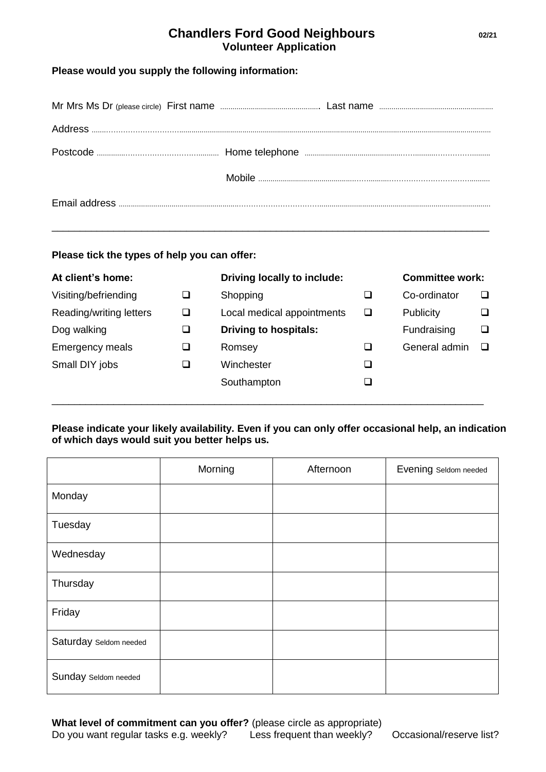# **Chandlers Ford Good Neighbours 02/21 Volunteer Application**

# **Please would you supply the following information:**

\_\_\_\_\_\_\_\_\_\_\_\_\_\_\_\_\_\_\_\_\_\_\_\_\_\_\_\_\_\_\_\_\_\_\_\_\_\_\_\_\_\_\_\_\_\_\_\_\_\_\_\_\_\_\_\_\_\_\_\_\_\_\_\_\_\_\_\_\_\_\_\_\_\_\_\_\_\_

#### **Please tick the types of help you can offer:**

| At client's home:       | Driving locally to include:  | <b>Committee work:</b> |   |
|-------------------------|------------------------------|------------------------|---|
| Visiting/befriending    | Shopping                     | Co-ordinator           | ப |
| Reading/writing letters | Local medical appointments   | <b>Publicity</b>       | ❏ |
| Dog walking             | <b>Driving to hospitals:</b> | Fundraising            | ❏ |
| <b>Emergency meals</b>  | Romsey                       | General admin          | □ |
| Small DIY jobs          | Winchester                   |                        |   |
|                         | Southampton                  |                        |   |
|                         |                              |                        |   |

# **Please indicate your likely availability. Even if you can only offer occasional help, an indication of which days would suit you better helps us.**

|                        | Morning | Afternoon | Evening Seldom needed |
|------------------------|---------|-----------|-----------------------|
| Monday                 |         |           |                       |
| Tuesday                |         |           |                       |
| Wednesday              |         |           |                       |
| Thursday               |         |           |                       |
| Friday                 |         |           |                       |
| Saturday Seldom needed |         |           |                       |
| Sunday Seldom needed   |         |           |                       |